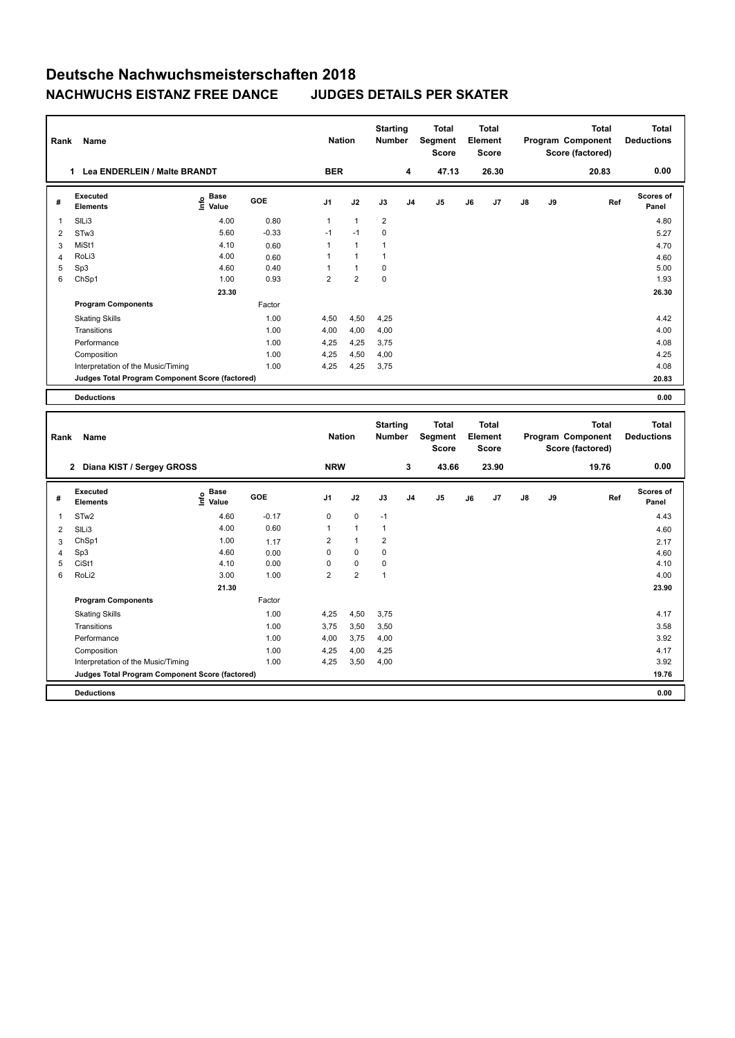## **Deutsche Nachwuchsmeisterschaften 2018 NACHWUCHS EISTANZ FREE DANCE JUDGES DETAILS PER SKATER**

| Rank           | Name                                            |                                           |         | <b>Nation</b>  |                | <b>Starting</b><br><b>Number</b> |                                  | <b>Total</b><br>Segment<br><b>Score</b> |    | <b>Total</b><br>Element<br><b>Score</b> |    |                                                       | <b>Total</b><br>Program Component<br>Score (factored) | <b>Total</b><br><b>Deductions</b> |
|----------------|-------------------------------------------------|-------------------------------------------|---------|----------------|----------------|----------------------------------|----------------------------------|-----------------------------------------|----|-----------------------------------------|----|-------------------------------------------------------|-------------------------------------------------------|-----------------------------------|
|                | 1 Lea ENDERLEIN / Malte BRANDT                  |                                           |         | <b>BER</b>     |                |                                  | 4                                | 47.13                                   |    | 26.30                                   |    |                                                       | 20.83                                                 | 0.00                              |
| #              | <b>Executed</b><br><b>Elements</b>              | e Base<br>E Value                         | GOE     | J1             | J2             | J3                               | J <sub>4</sub>                   | J <sub>5</sub>                          | J6 | J7                                      | J8 | J9                                                    | Ref                                                   | <b>Scores of</b><br>Panel         |
| 1              | SILi3                                           | 4.00                                      | 0.80    | 1              | $\mathbf{1}$   | $\overline{\mathbf{c}}$          |                                  |                                         |    |                                         |    |                                                       |                                                       | 4.80                              |
| $\overline{2}$ | STw3                                            | 5.60                                      | $-0.33$ | $-1$           | $-1$           | 0                                |                                  |                                         |    |                                         |    |                                                       |                                                       | 5.27                              |
| 3              | MiSt1                                           | 4.10                                      | 0.60    | 1              | $\mathbf{1}$   | 1                                |                                  |                                         |    |                                         |    |                                                       |                                                       | 4.70                              |
| $\overline{4}$ | RoLi3                                           | 4.00                                      | 0.60    | 1              | 1              | 1                                |                                  |                                         |    |                                         |    |                                                       |                                                       | 4.60                              |
| 5              | Sp3                                             | 4.60                                      | 0.40    | 1              | $\mathbf{1}$   | $\mathbf 0$                      |                                  |                                         |    |                                         |    |                                                       |                                                       | 5.00                              |
| 6              | ChSp1                                           | 1.00                                      | 0.93    | $\overline{2}$ | $\overline{2}$ | 0                                |                                  |                                         |    |                                         |    |                                                       |                                                       | 1.93                              |
|                |                                                 | 23.30                                     |         |                |                |                                  |                                  |                                         |    |                                         |    |                                                       |                                                       | 26.30                             |
|                | <b>Program Components</b>                       |                                           | Factor  |                |                |                                  |                                  |                                         |    |                                         |    |                                                       |                                                       |                                   |
|                | <b>Skating Skills</b>                           |                                           | 1.00    | 4,50           | 4,50           | 4,25                             |                                  |                                         |    |                                         |    |                                                       |                                                       | 4.42                              |
|                | Transitions                                     |                                           | 1.00    | 4,00           | 4,00           | 4,00                             |                                  |                                         |    |                                         |    |                                                       |                                                       | 4.00                              |
|                | Performance                                     |                                           | 1.00    | 4,25           | 4,25           | 3,75                             |                                  |                                         |    |                                         |    |                                                       |                                                       | 4.08                              |
|                | Composition                                     |                                           | 1.00    | 4,25           | 4,50           | 4,00                             |                                  |                                         |    |                                         |    |                                                       |                                                       | 4.25                              |
|                | Interpretation of the Music/Timing              |                                           | 1.00    | 4,25           | 4,25           | 3,75                             |                                  |                                         |    |                                         |    |                                                       |                                                       | 4.08                              |
|                | Judges Total Program Component Score (factored) |                                           |         |                |                |                                  |                                  |                                         |    |                                         |    |                                                       |                                                       | 20.83                             |
|                | <b>Deductions</b>                               |                                           |         |                |                |                                  |                                  |                                         |    |                                         |    |                                                       |                                                       | 0.00                              |
|                | Rank<br>Name                                    |                                           |         | <b>Nation</b>  |                | <b>Starting</b><br><b>Number</b> | Total<br>Segment<br><b>Score</b> | <b>Total</b><br>Element<br><b>Score</b> |    |                                         |    | <b>Total</b><br>Program Component<br>Score (factored) | <b>Total</b><br><b>Deductions</b>                     |                                   |
|                | 2 Diana KIST / Sergey GROSS                     |                                           |         | <b>NRW</b>     |                |                                  | 3                                | 43.66                                   |    | 23.90                                   |    |                                                       | 19.76                                                 | 0.00                              |
| #              | <b>Executed</b><br><b>Elements</b>              | $\frac{e}{E}$ Base<br>$\frac{e}{E}$ Value | GOE     | J1             | J2             | J3                               | J <sub>4</sub>                   | J5                                      | J6 | J7                                      | J8 | J9                                                    | Ref                                                   | <b>Scores of</b><br>Panel         |
| $\mathbf{1}$   | STw <sub>2</sub>                                | 4.60                                      | $-0.17$ | 0              | $\pmb{0}$      | $-1$                             |                                  |                                         |    |                                         |    |                                                       |                                                       | 4.43                              |
| $\overline{2}$ | SILi3                                           | 4.00                                      | 0.60    | 1              | $\mathbf{1}$   | $\mathbf{1}$                     |                                  |                                         |    |                                         |    |                                                       |                                                       | 4.60                              |
| 3              | ChSp1                                           | 1.00                                      | 1.17    | $\overline{2}$ | $\mathbf{1}$   | $\overline{2}$                   |                                  |                                         |    |                                         |    |                                                       |                                                       | 2.17                              |
| 4              | Sp3                                             | 4.60                                      | 0.00    | 0              | 0              | $\pmb{0}$                        |                                  |                                         |    |                                         |    |                                                       |                                                       | 4.60                              |
| 5              | CiSt1                                           | 4.10                                      | 0.00    | 0              | $\pmb{0}$      | 0                                |                                  |                                         |    |                                         |    |                                                       |                                                       | 4.10                              |
| 6              | RoLi2                                           | 3.00                                      | 1.00    | $\overline{2}$ | 2              | 1                                |                                  |                                         |    |                                         |    |                                                       |                                                       | 4.00                              |
|                |                                                 | 21.30                                     |         |                |                |                                  |                                  |                                         |    |                                         |    |                                                       |                                                       | 23.90                             |
|                | <b>Program Components</b>                       |                                           | Factor  |                |                |                                  |                                  |                                         |    |                                         |    |                                                       |                                                       |                                   |
|                | <b>Skating Skills</b>                           |                                           | 1.00    | 4,25           | 4,50           | 3,75                             |                                  |                                         |    |                                         |    |                                                       |                                                       | 4.17                              |
|                | Transitions                                     |                                           | 1.00    | 3,75           | 3,50           | 3,50                             |                                  |                                         |    |                                         |    |                                                       |                                                       | 3.58                              |
|                | Performance                                     |                                           |         |                |                |                                  |                                  |                                         |    |                                         |    |                                                       |                                                       | 3.92                              |
|                |                                                 |                                           | 1.00    | 4,00           | 3,75           | 4,00                             |                                  |                                         |    |                                         |    |                                                       |                                                       |                                   |
|                | Composition                                     |                                           | 1.00    | 4,25           | 4,00           | 4,25                             |                                  |                                         |    |                                         |    |                                                       |                                                       | 4.17                              |
|                | Interpretation of the Music/Timing              |                                           | 1.00    | 4,25           | 3,50           | 4,00                             |                                  |                                         |    |                                         |    |                                                       |                                                       | 3.92                              |
|                | Judges Total Program Component Score (factored) |                                           |         |                |                |                                  |                                  |                                         |    |                                         |    |                                                       |                                                       | 19.76                             |